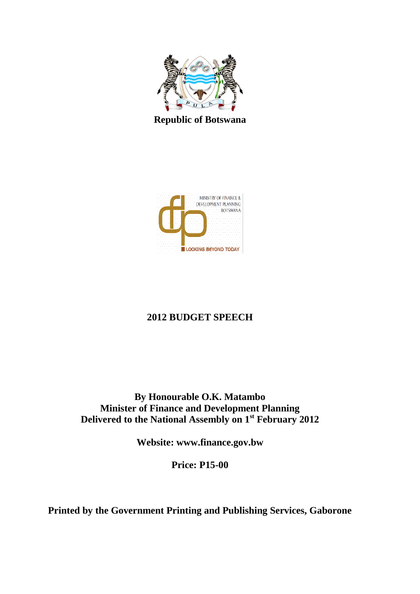

**Republic of Botswana**



# **2012 BUDGET SPEECH**

**By Honourable O.K. Matambo Minister of Finance and Development Planning Delivered to the National Assembly on 1st February 2012**

**Website: www.finance.gov.bw**

**Price: P15-00**

**Printed by the Government Printing and Publishing Services, Gaborone**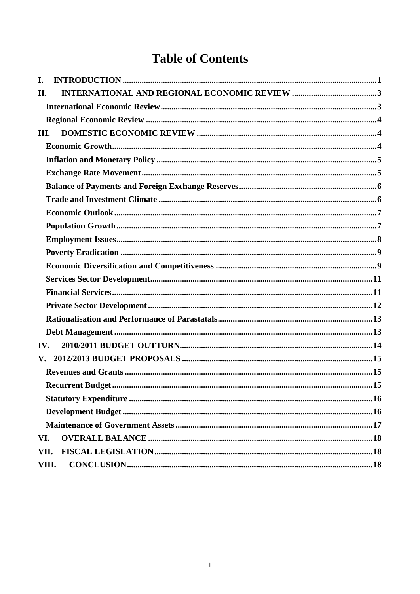# **Table of Contents**

| I.                     |                        |  |
|------------------------|------------------------|--|
| II.                    |                        |  |
|                        |                        |  |
|                        |                        |  |
| III.                   |                        |  |
|                        |                        |  |
|                        |                        |  |
|                        |                        |  |
|                        |                        |  |
|                        |                        |  |
|                        |                        |  |
|                        |                        |  |
|                        |                        |  |
|                        |                        |  |
|                        |                        |  |
|                        |                        |  |
|                        |                        |  |
|                        |                        |  |
|                        |                        |  |
|                        |                        |  |
| IV.                    |                        |  |
| $\mathbf{V}_{\bullet}$ |                        |  |
|                        |                        |  |
|                        |                        |  |
|                        |                        |  |
|                        |                        |  |
|                        |                        |  |
| VI.                    |                        |  |
| VII.                   |                        |  |
|                        | CONCLUSION 18<br>VIII. |  |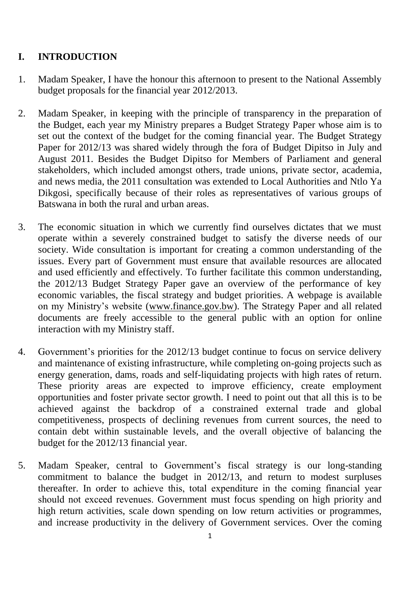# <span id="page-2-0"></span>**I. INTRODUCTION**

- 1. Madam Speaker, I have the honour this afternoon to present to the National Assembly budget proposals for the financial year 2012/2013.
- 2. Madam Speaker, in keeping with the principle of transparency in the preparation of the Budget, each year my Ministry prepares a Budget Strategy Paper whose aim is to set out the context of the budget for the coming financial year. The Budget Strategy Paper for 2012/13 was shared widely through the fora of Budget Dipitso in July and August 2011. Besides the Budget Dipitso for Members of Parliament and general stakeholders, which included amongst others, trade unions, private sector, academia, and news media, the 2011 consultation was extended to Local Authorities and Ntlo Ya Dikgosi, specifically because of their roles as representatives of various groups of Batswana in both the rural and urban areas.
- 3. The economic situation in which we currently find ourselves dictates that we must operate within a severely constrained budget to satisfy the diverse needs of our society. Wide consultation is important for creating a common understanding of the issues. Every part of Government must ensure that available resources are allocated and used efficiently and effectively. To further facilitate this common understanding, the 2012/13 Budget Strategy Paper gave an overview of the performance of key economic variables, the fiscal strategy and budget priorities. A webpage is available on my Ministry's website [\(www.finance.gov.bw\)](http://www.finance.gov.bw/). The Strategy Paper and all related documents are freely accessible to the general public with an option for online interaction with my Ministry staff.
- 4. Government's priorities for the 2012/13 budget continue to focus on service delivery and maintenance of existing infrastructure, while completing on-going projects such as energy generation, dams, roads and self-liquidating projects with high rates of return. These priority areas are expected to improve efficiency, create employment opportunities and foster private sector growth. I need to point out that all this is to be achieved against the backdrop of a constrained external trade and global competitiveness, prospects of declining revenues from current sources, the need to contain debt within sustainable levels, and the overall objective of balancing the budget for the 2012/13 financial year.
- 5. Madam Speaker, central to Government's fiscal strategy is our long-standing commitment to balance the budget in 2012/13, and return to modest surpluses thereafter. In order to achieve this, total expenditure in the coming financial year should not exceed revenues. Government must focus spending on high priority and high return activities, scale down spending on low return activities or programmes, and increase productivity in the delivery of Government services. Over the coming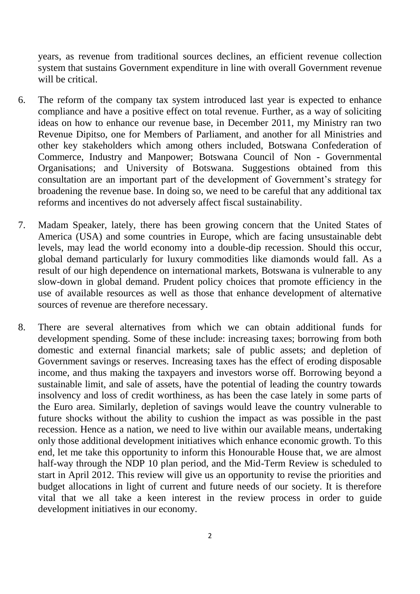years, as revenue from traditional sources declines, an efficient revenue collection system that sustains Government expenditure in line with overall Government revenue will be critical.

- 6. The reform of the company tax system introduced last year is expected to enhance compliance and have a positive effect on total revenue. Further, as a way of soliciting ideas on how to enhance our revenue base, in December 2011, my Ministry ran two Revenue Dipitso, one for Members of Parliament, and another for all Ministries and other key stakeholders which among others included, Botswana Confederation of Commerce, Industry and Manpower; Botswana Council of Non - Governmental Organisations; and University of Botswana. Suggestions obtained from this consultation are an important part of the development of Government's strategy for broadening the revenue base. In doing so, we need to be careful that any additional tax reforms and incentives do not adversely affect fiscal sustainability.
- 7. Madam Speaker, lately, there has been growing concern that the United States of America (USA) and some countries in Europe, which are facing unsustainable debt levels, may lead the world economy into a double-dip recession. Should this occur, global demand particularly for luxury commodities like diamonds would fall. As a result of our high dependence on international markets, Botswana is vulnerable to any slow-down in global demand. Prudent policy choices that promote efficiency in the use of available resources as well as those that enhance development of alternative sources of revenue are therefore necessary.
- 8. There are several alternatives from which we can obtain additional funds for development spending. Some of these include: increasing taxes; borrowing from both domestic and external financial markets; sale of public assets; and depletion of Government savings or reserves. Increasing taxes has the effect of eroding disposable income, and thus making the taxpayers and investors worse off. Borrowing beyond a sustainable limit, and sale of assets, have the potential of leading the country towards insolvency and loss of credit worthiness, as has been the case lately in some parts of the Euro area. Similarly, depletion of savings would leave the country vulnerable to future shocks without the ability to cushion the impact as was possible in the past recession. Hence as a nation, we need to live within our available means, undertaking only those additional development initiatives which enhance economic growth. To this end, let me take this opportunity to inform this Honourable House that, we are almost half-way through the NDP 10 plan period, and the Mid-Term Review is scheduled to start in April 2012. This review will give us an opportunity to revise the priorities and budget allocations in light of current and future needs of our society. It is therefore vital that we all take a keen interest in the review process in order to guide development initiatives in our economy.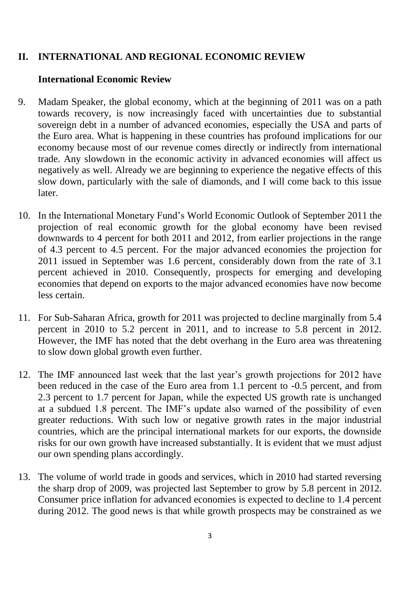## <span id="page-4-0"></span>**II. INTERNATIONAL AND REGIONAL ECONOMIC REVIEW**

## <span id="page-4-1"></span>**International Economic Review**

- 9. Madam Speaker, the global economy, which at the beginning of 2011 was on a path towards recovery, is now increasingly faced with uncertainties due to substantial sovereign debt in a number of advanced economies, especially the USA and parts of the Euro area. What is happening in these countries has profound implications for our economy because most of our revenue comes directly or indirectly from international trade. Any slowdown in the economic activity in advanced economies will affect us negatively as well. Already we are beginning to experience the negative effects of this slow down, particularly with the sale of diamonds, and I will come back to this issue later.
- 10. In the International Monetary Fund's World Economic Outlook of September 2011 the projection of real economic growth for the global economy have been revised downwards to 4 percent for both 2011 and 2012, from earlier projections in the range of 4.3 percent to 4.5 percent. For the major advanced economies the projection for 2011 issued in September was 1.6 percent, considerably down from the rate of 3.1 percent achieved in 2010. Consequently, prospects for emerging and developing economies that depend on exports to the major advanced economies have now become less certain.
- 11. For Sub-Saharan Africa, growth for 2011 was projected to decline marginally from 5.4 percent in 2010 to 5.2 percent in 2011, and to increase to 5.8 percent in 2012. However, the IMF has noted that the debt overhang in the Euro area was threatening to slow down global growth even further.
- 12. The IMF announced last week that the last year's growth projections for 2012 have been reduced in the case of the Euro area from 1.1 percent to -0.5 percent, and from 2.3 percent to 1.7 percent for Japan, while the expected US growth rate is unchanged at a subdued 1.8 percent. The IMF's update also warned of the possibility of even greater reductions. With such low or negative growth rates in the major industrial countries, which are the principal international markets for our exports, the downside risks for our own growth have increased substantially. It is evident that we must adjust our own spending plans accordingly.
- 13. The volume of world trade in goods and services, which in 2010 had started reversing the sharp drop of 2009, was projected last September to grow by 5.8 percent in 2012. Consumer price inflation for advanced economies is expected to decline to 1.4 percent during 2012. The good news is that while growth prospects may be constrained as we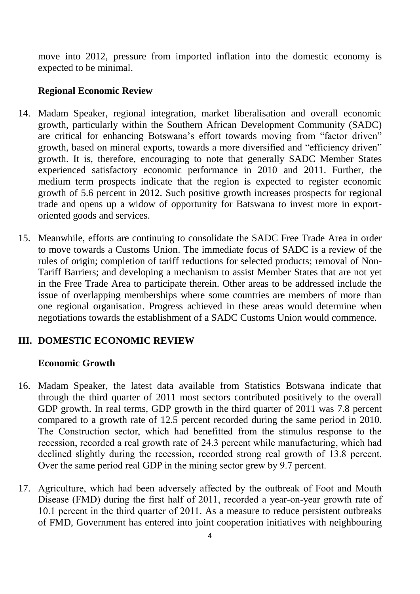move into 2012, pressure from imported inflation into the domestic economy is expected to be minimal.

### <span id="page-5-0"></span>**Regional Economic Review**

- 14. Madam Speaker, regional integration, market liberalisation and overall economic growth, particularly within the Southern African Development Community (SADC) are critical for enhancing Botswana's effort towards moving from "factor driven" growth, based on mineral exports, towards a more diversified and "efficiency driven" growth. It is, therefore, encouraging to note that generally SADC Member States experienced satisfactory economic performance in 2010 and 2011. Further, the medium term prospects indicate that the region is expected to register economic growth of 5.6 percent in 2012. Such positive growth increases prospects for regional trade and opens up a widow of opportunity for Batswana to invest more in exportoriented goods and services.
- 15. Meanwhile, efforts are continuing to consolidate the SADC Free Trade Area in order to move towards a Customs Union. The immediate focus of SADC is a review of the rules of origin; completion of tariff reductions for selected products; removal of Non-Tariff Barriers; and developing a mechanism to assist Member States that are not yet in the Free Trade Area to participate therein. Other areas to be addressed include the issue of overlapping memberships where some countries are members of more than one regional organisation. Progress achieved in these areas would determine when negotiations towards the establishment of a SADC Customs Union would commence.

## <span id="page-5-1"></span>**III. DOMESTIC ECONOMIC REVIEW**

#### <span id="page-5-2"></span>**Economic Growth**

- 16. Madam Speaker, the latest data available from Statistics Botswana indicate that through the third quarter of 2011 most sectors contributed positively to the overall GDP growth. In real terms, GDP growth in the third quarter of 2011 was 7.8 percent compared to a growth rate of 12.5 percent recorded during the same period in 2010. The Construction sector, which had benefitted from the stimulus response to the recession, recorded a real growth rate of 24.3 percent while manufacturing, which had declined slightly during the recession, recorded strong real growth of 13.8 percent. Over the same period real GDP in the mining sector grew by 9.7 percent.
- 17. Agriculture, which had been adversely affected by the outbreak of Foot and Mouth Disease (FMD) during the first half of 2011, recorded a year-on-year growth rate of 10.1 percent in the third quarter of 2011. As a measure to reduce persistent outbreaks of FMD, Government has entered into joint cooperation initiatives with neighbouring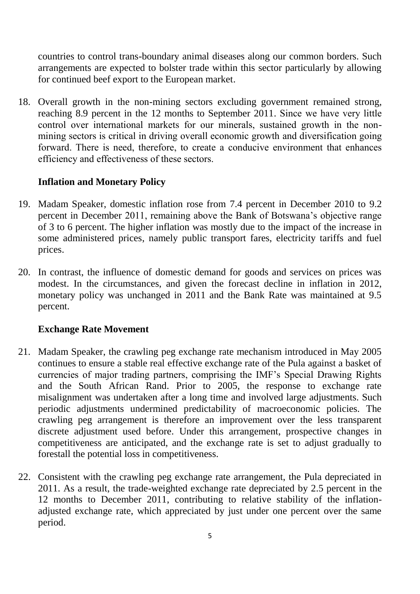countries to control trans-boundary animal diseases along our common borders. Such arrangements are expected to bolster trade within this sector particularly by allowing for continued beef export to the European market.

18. Overall growth in the non-mining sectors excluding government remained strong, reaching 8.9 percent in the 12 months to September 2011. Since we have very little control over international markets for our minerals, sustained growth in the nonmining sectors is critical in driving overall economic growth and diversification going forward. There is need, therefore, to create a conducive environment that enhances efficiency and effectiveness of these sectors.

## <span id="page-6-0"></span>**Inflation and Monetary Policy**

- 19. Madam Speaker, domestic inflation rose from 7.4 percent in December 2010 to 9.2 percent in December 2011, remaining above the Bank of Botswana's objective range of 3 to 6 percent. The higher inflation was mostly due to the impact of the increase in some administered prices, namely public transport fares, electricity tariffs and fuel prices.
- 20. In contrast, the influence of domestic demand for goods and services on prices was modest. In the circumstances, and given the forecast decline in inflation in 2012, monetary policy was unchanged in 2011 and the Bank Rate was maintained at 9.5 percent.

#### <span id="page-6-1"></span>**Exchange Rate Movement**

- 21. Madam Speaker, the crawling peg exchange rate mechanism introduced in May 2005 continues to ensure a stable real effective exchange rate of the Pula against a basket of currencies of major trading partners, comprising the IMF's Special Drawing Rights and the South African Rand. Prior to 2005, the response to exchange rate misalignment was undertaken after a long time and involved large adjustments. Such periodic adjustments undermined predictability of macroeconomic policies. The crawling peg arrangement is therefore an improvement over the less transparent discrete adjustment used before. Under this arrangement, prospective changes in competitiveness are anticipated, and the exchange rate is set to adjust gradually to forestall the potential loss in competitiveness.
- 22. Consistent with the crawling peg exchange rate arrangement, the Pula depreciated in 2011. As a result, the trade-weighted exchange rate depreciated by 2.5 percent in the 12 months to December 2011, contributing to relative stability of the inflationadjusted exchange rate, which appreciated by just under one percent over the same period.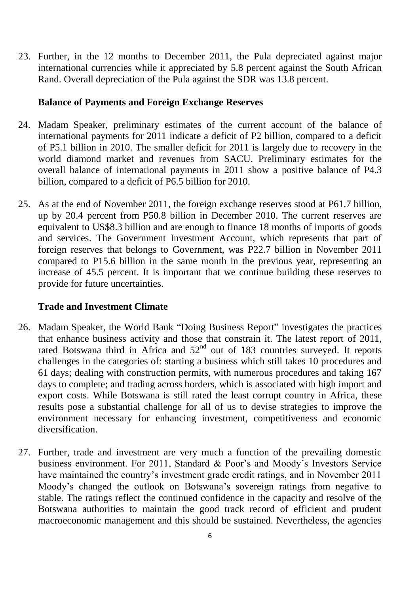23. Further, in the 12 months to December 2011, the Pula depreciated against major international currencies while it appreciated by 5.8 percent against the South African Rand. Overall depreciation of the Pula against the SDR was 13.8 percent.

## <span id="page-7-0"></span>**Balance of Payments and Foreign Exchange Reserves**

- 24. Madam Speaker, preliminary estimates of the current account of the balance of international payments for 2011 indicate a deficit of P2 billion, compared to a deficit of P5.1 billion in 2010. The smaller deficit for 2011 is largely due to recovery in the world diamond market and revenues from SACU. Preliminary estimates for the overall balance of international payments in 2011 show a positive balance of P4.3 billion, compared to a deficit of P6.5 billion for 2010.
- 25. As at the end of November 2011, the foreign exchange reserves stood at P61.7 billion, up by 20.4 percent from P50.8 billion in December 2010. The current reserves are equivalent to US\$8.3 billion and are enough to finance 18 months of imports of goods and services. The Government Investment Account, which represents that part of foreign reserves that belongs to Government, was P22.7 billion in November 2011 compared to P15.6 billion in the same month in the previous year, representing an increase of 45.5 percent. It is important that we continue building these reserves to provide for future uncertainties.

# <span id="page-7-1"></span>**Trade and Investment Climate**

- 26. Madam Speaker, the World Bank "Doing Business Report" investigates the practices that enhance business activity and those that constrain it. The latest report of 2011, rated Botswana third in Africa and  $52<sup>nd</sup>$  out of 183 countries surveyed. It reports challenges in the categories of: starting a business which still takes 10 procedures and 61 days; dealing with construction permits, with numerous procedures and taking 167 days to complete; and trading across borders, which is associated with high import and export costs. While Botswana is still rated the least corrupt country in Africa, these results pose a substantial challenge for all of us to devise strategies to improve the environment necessary for enhancing investment, competitiveness and economic diversification.
- 27. Further, trade and investment are very much a function of the prevailing domestic business environment. For 2011, Standard & Poor's and Moody's Investors Service have maintained the country's investment grade credit ratings, and in November 2011 Moody's changed the outlook on Botswana's sovereign ratings from negative to stable. The ratings reflect the continued confidence in the capacity and resolve of the Botswana authorities to maintain the good track record of efficient and prudent macroeconomic management and this should be sustained. Nevertheless, the agencies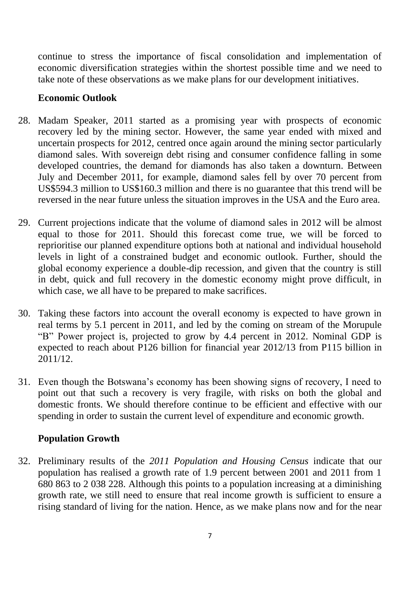continue to stress the importance of fiscal consolidation and implementation of economic diversification strategies within the shortest possible time and we need to take note of these observations as we make plans for our development initiatives.

## <span id="page-8-0"></span>**Economic Outlook**

- 28. Madam Speaker, 2011 started as a promising year with prospects of economic recovery led by the mining sector. However, the same year ended with mixed and uncertain prospects for 2012, centred once again around the mining sector particularly diamond sales. With sovereign debt rising and consumer confidence falling in some developed countries, the demand for diamonds has also taken a downturn. Between July and December 2011, for example, diamond sales fell by over 70 percent from US\$594.3 million to US\$160.3 million and there is no guarantee that this trend will be reversed in the near future unless the situation improves in the USA and the Euro area.
- 29. Current projections indicate that the volume of diamond sales in 2012 will be almost equal to those for 2011. Should this forecast come true, we will be forced to reprioritise our planned expenditure options both at national and individual household levels in light of a constrained budget and economic outlook. Further, should the global economy experience a double-dip recession, and given that the country is still in debt, quick and full recovery in the domestic economy might prove difficult, in which case, we all have to be prepared to make sacrifices.
- 30. Taking these factors into account the overall economy is expected to have grown in real terms by 5.1 percent in 2011, and led by the coming on stream of the Morupule "B" Power project is, projected to grow by 4.4 percent in 2012. Nominal GDP is expected to reach about P126 billion for financial year 2012/13 from P115 billion in 2011/12.
- 31. Even though the Botswana's economy has been showing signs of recovery, I need to point out that such a recovery is very fragile, with risks on both the global and domestic fronts. We should therefore continue to be efficient and effective with our spending in order to sustain the current level of expenditure and economic growth.

# <span id="page-8-1"></span>**Population Growth**

32. Preliminary results of the *2011 Population and Housing Census* indicate that our population has realised a growth rate of 1.9 percent between 2001 and 2011 from 1 680 863 to 2 038 228. Although this points to a population increasing at a diminishing growth rate, we still need to ensure that real income growth is sufficient to ensure a rising standard of living for the nation. Hence, as we make plans now and for the near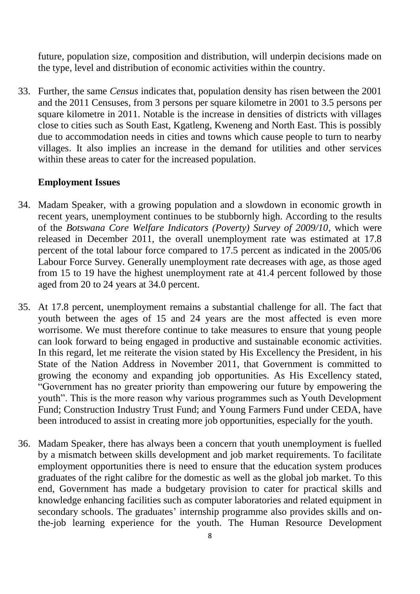future, population size, composition and distribution, will underpin decisions made on the type, level and distribution of economic activities within the country.

33. Further, the same *Census* indicates that, population density has risen between the 2001 and the 2011 Censuses, from 3 persons per square kilometre in 2001 to 3.5 persons per square kilometre in 2011. Notable is the increase in densities of districts with villages close to cities such as South East, Kgatleng, Kweneng and North East. This is possibly due to accommodation needs in cities and towns which cause people to turn to nearby villages. It also implies an increase in the demand for utilities and other services within these areas to cater for the increased population.

#### <span id="page-9-0"></span>**Employment Issues**

- 34. Madam Speaker, with a growing population and a slowdown in economic growth in recent years, unemployment continues to be stubbornly high. According to the results of the *Botswana Core Welfare Indicators (Poverty) Survey of 2009/10*, which were released in December 2011, the overall unemployment rate was estimated at 17.8 percent of the total labour force compared to 17.5 percent as indicated in the 2005/06 Labour Force Survey. Generally unemployment rate decreases with age, as those aged from 15 to 19 have the highest unemployment rate at 41.4 percent followed by those aged from 20 to 24 years at 34.0 percent.
- 35. At 17.8 percent, unemployment remains a substantial challenge for all. The fact that youth between the ages of 15 and 24 years are the most affected is even more worrisome. We must therefore continue to take measures to ensure that young people can look forward to being engaged in productive and sustainable economic activities. In this regard, let me reiterate the vision stated by His Excellency the President, in his State of the Nation Address in November 2011, that Government is committed to growing the economy and expanding job opportunities. As His Excellency stated, "Government has no greater priority than empowering our future by empowering the youth". This is the more reason why various programmes such as Youth Development Fund; Construction Industry Trust Fund; and Young Farmers Fund under CEDA, have been introduced to assist in creating more job opportunities, especially for the youth.
- 36. Madam Speaker, there has always been a concern that youth unemployment is fuelled by a mismatch between skills development and job market requirements. To facilitate employment opportunities there is need to ensure that the education system produces graduates of the right calibre for the domestic as well as the global job market. To this end, Government has made a budgetary provision to cater for practical skills and knowledge enhancing facilities such as computer laboratories and related equipment in secondary schools. The graduates' internship programme also provides skills and onthe-job learning experience for the youth. The Human Resource Development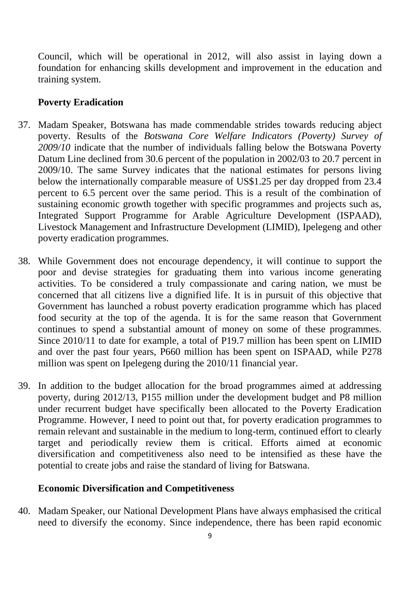Council, which will be operational in 2012, will also assist in laying down a foundation for enhancing skills development and improvement in the education and training system.

#### <span id="page-10-0"></span>**Poverty Eradication**

- 37. Madam Speaker, Botswana has made commendable strides towards reducing abject poverty. Results of the *Botswana Core Welfare Indicators (Poverty) Survey of 2009/10* indicate that the number of individuals falling below the Botswana Poverty Datum Line declined from 30.6 percent of the population in 2002/03 to 20.7 percent in 2009/10. The same Survey indicates that the national estimates for persons living below the internationally comparable measure of US\$1.25 per day dropped from 23.4 percent to 6.5 percent over the same period. This is a result of the combination of sustaining economic growth together with specific programmes and projects such as, Integrated Support Programme for Arable Agriculture Development (ISPAAD), Livestock Management and Infrastructure Development (LIMID), Ipelegeng and other poverty eradication programmes.
- 38. While Government does not encourage dependency, it will continue to support the poor and devise strategies for graduating them into various income generating activities. To be considered a truly compassionate and caring nation, we must be concerned that all citizens live a dignified life. It is in pursuit of this objective that Government has launched a robust poverty eradication programme which has placed food security at the top of the agenda. It is for the same reason that Government continues to spend a substantial amount of money on some of these programmes. Since 2010/11 to date for example, a total of P19.7 million has been spent on LIMID and over the past four years, P660 million has been spent on ISPAAD, while P278 million was spent on Ipelegeng during the 2010/11 financial year.
- 39. In addition to the budget allocation for the broad programmes aimed at addressing poverty, during 2012/13, P155 million under the development budget and P8 million under recurrent budget have specifically been allocated to the Poverty Eradication Programme. However, I need to point out that, for poverty eradication programmes to remain relevant and sustainable in the medium to long-term, continued effort to clearly target and periodically review them is critical. Efforts aimed at economic diversification and competitiveness also need to be intensified as these have the potential to create jobs and raise the standard of living for Batswana.

#### <span id="page-10-1"></span>**Economic Diversification and Competitiveness**

40. Madam Speaker, our National Development Plans have always emphasised the critical need to diversify the economy. Since independence, there has been rapid economic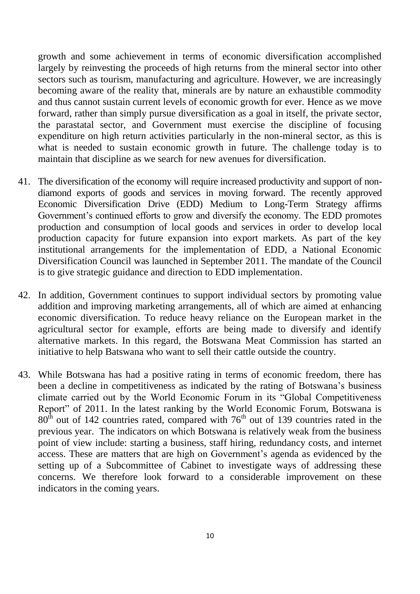growth and some achievement in terms of economic diversification accomplished largely by reinvesting the proceeds of high returns from the mineral sector into other sectors such as tourism, manufacturing and agriculture. However, we are increasingly becoming aware of the reality that, minerals are by nature an exhaustible commodity and thus cannot sustain current levels of economic growth for ever. Hence as we move forward, rather than simply pursue diversification as a goal in itself, the private sector, the parastatal sector, and Government must exercise the discipline of focusing expenditure on high return activities particularly in the non-mineral sector, as this is what is needed to sustain economic growth in future. The challenge today is to maintain that discipline as we search for new avenues for diversification.

- 41. The diversification of the economy will require increased productivity and support of nondiamond exports of goods and services in moving forward. The recently approved Economic Diversification Drive (EDD) Medium to Long-Term Strategy affirms Government's continued efforts to grow and diversify the economy. The EDD promotes production and consumption of local goods and services in order to develop local production capacity for future expansion into export markets. As part of the key institutional arrangements for the implementation of EDD, a National Economic Diversification Council was launched in September 2011. The mandate of the Council is to give strategic guidance and direction to EDD implementation.
- 42. In addition, Government continues to support individual sectors by promoting value addition and improving marketing arrangements, all of which are aimed at enhancing economic diversification. To reduce heavy reliance on the European market in the agricultural sector for example, efforts are being made to diversify and identify alternative markets. In this regard, the Botswana Meat Commission has started an initiative to help Batswana who want to sell their cattle outside the country.
- <span id="page-11-0"></span>43. While Botswana has had a positive rating in terms of economic freedom, there has been a decline in competitiveness as indicated by the rating of Botswana's business climate carried out by the World Economic Forum in its "Global Competitiveness Report" of 2011. In the latest ranking by the World Economic Forum, Botswana is  $80<sup>th</sup>$  out of 142 countries rated, compared with  $76<sup>th</sup>$  out of 139 countries rated in the previous year. The indicators on which Botswana is relatively weak from the business point of view include: starting a business, staff hiring, redundancy costs, and internet access. These are matters that are high on Government's agenda as evidenced by the setting up of a Subcommittee of Cabinet to investigate ways of addressing these concerns. We therefore look forward to a considerable improvement on these indicators in the coming years.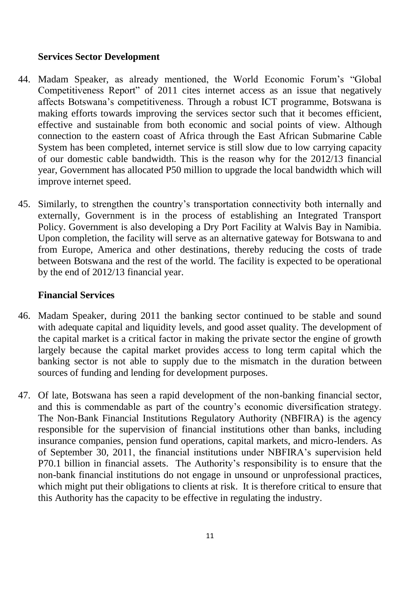#### **Services Sector Development**

- 44. Madam Speaker, as already mentioned, the World Economic Forum's "Global Competitiveness Report" of 2011 cites internet access as an issue that negatively affects Botswana's competitiveness. Through a robust ICT programme, Botswana is making efforts towards improving the services sector such that it becomes efficient, effective and sustainable from both economic and social points of view. Although connection to the eastern coast of Africa through the East African Submarine Cable System has been completed, internet service is still slow due to low carrying capacity of our domestic cable bandwidth. This is the reason why for the 2012/13 financial year, Government has allocated P50 million to upgrade the local bandwidth which will improve internet speed.
- 45. Similarly, to strengthen the country's transportation connectivity both internally and externally, Government is in the process of establishing an Integrated Transport Policy. Government is also developing a Dry Port Facility at Walvis Bay in Namibia. Upon completion, the facility will serve as an alternative gateway for Botswana to and from Europe, America and other destinations, thereby reducing the costs of trade between Botswana and the rest of the world. The facility is expected to be operational by the end of 2012/13 financial year.

## <span id="page-12-0"></span>**Financial Services**

- 46. Madam Speaker, during 2011 the banking sector continued to be stable and sound with adequate capital and liquidity levels, and good asset quality. The development of the capital market is a critical factor in making the private sector the engine of growth largely because the capital market provides access to long term capital which the banking sector is not able to supply due to the mismatch in the duration between sources of funding and lending for development purposes.
- 47. Of late, Botswana has seen a rapid development of the non-banking financial sector, and this is commendable as part of the country's economic diversification strategy. The Non-Bank Financial Institutions Regulatory Authority (NBFIRA) is the agency responsible for the supervision of financial institutions other than banks, including insurance companies, pension fund operations, capital markets, and micro-lenders. As of September 30, 2011, the financial institutions under NBFIRA's supervision held P70.1 billion in financial assets. The Authority's responsibility is to ensure that the non-bank financial institutions do not engage in unsound or unprofessional practices, which might put their obligations to clients at risk. It is therefore critical to ensure that this Authority has the capacity to be effective in regulating the industry.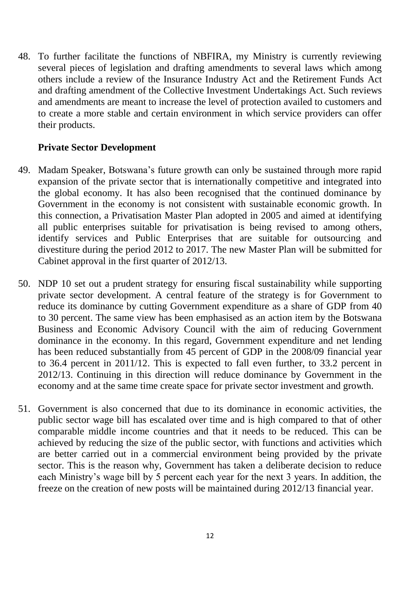48. To further facilitate the functions of NBFIRA, my Ministry is currently reviewing several pieces of legislation and drafting amendments to several laws which among others include a review of the Insurance Industry Act and the Retirement Funds Act and drafting amendment of the Collective Investment Undertakings Act. Such reviews and amendments are meant to increase the level of protection availed to customers and to create a more stable and certain environment in which service providers can offer their products.

### <span id="page-13-0"></span>**Private Sector Development**

- 49. Madam Speaker, Botswana's future growth can only be sustained through more rapid expansion of the private sector that is internationally competitive and integrated into the global economy. It has also been recognised that the continued dominance by Government in the economy is not consistent with sustainable economic growth. In this connection, a Privatisation Master Plan adopted in 2005 and aimed at identifying all public enterprises suitable for privatisation is being revised to among others, identify services and Public Enterprises that are suitable for outsourcing and divestiture during the period 2012 to 2017. The new Master Plan will be submitted for Cabinet approval in the first quarter of 2012/13.
- 50. NDP 10 set out a prudent strategy for ensuring fiscal sustainability while supporting private sector development. A central feature of the strategy is for Government to reduce its dominance by cutting Government expenditure as a share of GDP from 40 to 30 percent. The same view has been emphasised as an action item by the Botswana Business and Economic Advisory Council with the aim of reducing Government dominance in the economy. In this regard, Government expenditure and net lending has been reduced substantially from 45 percent of GDP in the 2008/09 financial year to 36.4 percent in 2011/12. This is expected to fall even further, to 33.2 percent in 2012/13. Continuing in this direction will reduce dominance by Government in the economy and at the same time create space for private sector investment and growth.
- <span id="page-13-1"></span>51. Government is also concerned that due to its dominance in economic activities, the public sector wage bill has escalated over time and is high compared to that of other comparable middle income countries and that it needs to be reduced. This can be achieved by reducing the size of the public sector, with functions and activities which are better carried out in a commercial environment being provided by the private sector. This is the reason why, Government has taken a deliberate decision to reduce each Ministry's wage bill by 5 percent each year for the next 3 years. In addition, the freeze on the creation of new posts will be maintained during 2012/13 financial year.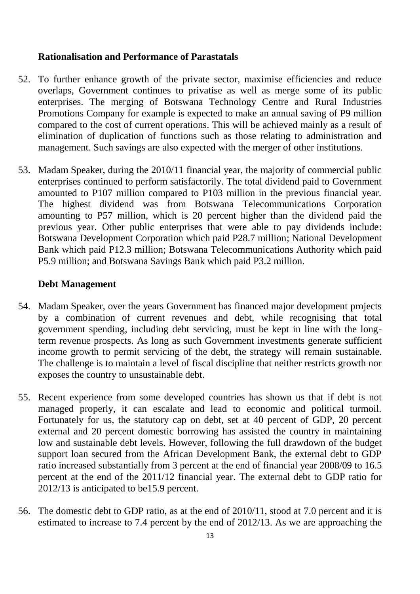#### **Rationalisation and Performance of Parastatals**

- 52. To further enhance growth of the private sector, maximise efficiencies and reduce overlaps, Government continues to privatise as well as merge some of its public enterprises. The merging of Botswana Technology Centre and Rural Industries Promotions Company for example is expected to make an annual saving of P9 million compared to the cost of current operations. This will be achieved mainly as a result of elimination of duplication of functions such as those relating to administration and management. Such savings are also expected with the merger of other institutions.
- 53. Madam Speaker, during the 2010/11 financial year, the majority of commercial public enterprises continued to perform satisfactorily. The total dividend paid to Government amounted to P107 million compared to P103 million in the previous financial year. The highest dividend was from Botswana Telecommunications Corporation amounting to P57 million, which is 20 percent higher than the dividend paid the previous year. Other public enterprises that were able to pay dividends include: Botswana Development Corporation which paid P28.7 million; National Development Bank which paid P12.3 million; Botswana Telecommunications Authority which paid P5.9 million; and Botswana Savings Bank which paid P3.2 million.

#### <span id="page-14-0"></span>**Debt Management**

- 54. Madam Speaker, over the years Government has financed major development projects by a combination of current revenues and debt, while recognising that total government spending, including debt servicing, must be kept in line with the longterm revenue prospects. As long as such Government investments generate sufficient income growth to permit servicing of the debt, the strategy will remain sustainable. The challenge is to maintain a level of fiscal discipline that neither restricts growth nor exposes the country to unsustainable debt.
- 55. Recent experience from some developed countries has shown us that if debt is not managed properly, it can escalate and lead to economic and political turmoil. Fortunately for us, the statutory cap on debt, set at 40 percent of GDP, 20 percent external and 20 percent domestic borrowing has assisted the country in maintaining low and sustainable debt levels. However, following the full drawdown of the budget support loan secured from the African Development Bank, the external debt to GDP ratio increased substantially from 3 percent at the end of financial year 2008/09 to 16.5 percent at the end of the 2011/12 financial year. The external debt to GDP ratio for 2012/13 is anticipated to be15.9 percent.
- 56. The domestic debt to GDP ratio, as at the end of 2010/11, stood at 7.0 percent and it is estimated to increase to 7.4 percent by the end of 2012/13. As we are approaching the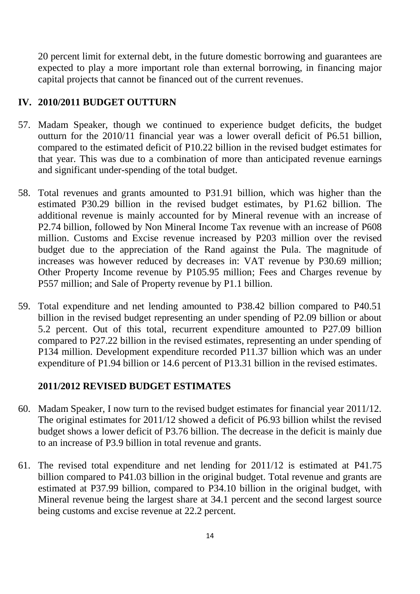20 percent limit for external debt, in the future domestic borrowing and guarantees are expected to play a more important role than external borrowing, in financing major capital projects that cannot be financed out of the current revenues.

## <span id="page-15-0"></span>**IV. 2010/2011 BUDGET OUTTURN**

- 57. Madam Speaker, though we continued to experience budget deficits, the budget outturn for the 2010/11 financial year was a lower overall deficit of P6.51 billion, compared to the estimated deficit of P10.22 billion in the revised budget estimates for that year. This was due to a combination of more than anticipated revenue earnings and significant under-spending of the total budget.
- 58. Total revenues and grants amounted to P31.91 billion, which was higher than the estimated P30.29 billion in the revised budget estimates, by P1.62 billion. The additional revenue is mainly accounted for by Mineral revenue with an increase of P2.74 billion, followed by Non Mineral Income Tax revenue with an increase of P608 million. Customs and Excise revenue increased by P203 million over the revised budget due to the appreciation of the Rand against the Pula. The magnitude of increases was however reduced by decreases in: VAT revenue by P30.69 million; Other Property Income revenue by P105.95 million; Fees and Charges revenue by P557 million; and Sale of Property revenue by P1.1 billion.
- 59. Total expenditure and net lending amounted to P38.42 billion compared to P40.51 billion in the revised budget representing an under spending of P2.09 billion or about 5.2 percent. Out of this total, recurrent expenditure amounted to P27.09 billion compared to P27.22 billion in the revised estimates, representing an under spending of P134 million. Development expenditure recorded P11.37 billion which was an under expenditure of P1.94 billion or 14.6 percent of P13.31 billion in the revised estimates.

## **2011/2012 REVISED BUDGET ESTIMATES**

- 60. Madam Speaker, I now turn to the revised budget estimates for financial year 2011/12. The original estimates for 2011/12 showed a deficit of P6.93 billion whilst the revised budget shows a lower deficit of P3.76 billion. The decrease in the deficit is mainly due to an increase of P3.9 billion in total revenue and grants.
- 61. The revised total expenditure and net lending for 2011/12 is estimated at P41.75 billion compared to P41.03 billion in the original budget. Total revenue and grants are estimated at P37.99 billion, compared to P34.10 billion in the original budget, with Mineral revenue being the largest share at 34.1 percent and the second largest source being customs and excise revenue at 22.2 percent.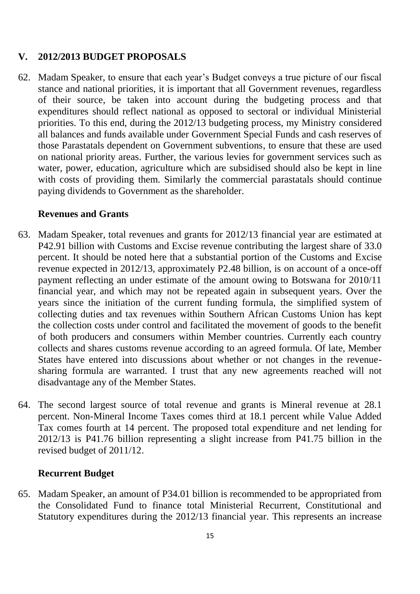## <span id="page-16-0"></span>**V. 2012/2013 BUDGET PROPOSALS**

62. Madam Speaker, to ensure that each year's Budget conveys a true picture of our fiscal stance and national priorities, it is important that all Government revenues, regardless of their source, be taken into account during the budgeting process and that expenditures should reflect national as opposed to sectoral or individual Ministerial priorities. To this end, during the 2012/13 budgeting process, my Ministry considered all balances and funds available under Government Special Funds and cash reserves of those Parastatals dependent on Government subventions, to ensure that these are used on national priority areas. Further, the various levies for government services such as water, power, education, agriculture which are subsidised should also be kept in line with costs of providing them. Similarly the commercial parastatals should continue paying dividends to Government as the shareholder.

#### <span id="page-16-1"></span>**Revenues and Grants**

- 63. Madam Speaker, total revenues and grants for 2012/13 financial year are estimated at P42.91 billion with Customs and Excise revenue contributing the largest share of 33.0 percent. It should be noted here that a substantial portion of the Customs and Excise revenue expected in 2012/13, approximately P2.48 billion, is on account of a once-off payment reflecting an under estimate of the amount owing to Botswana for 2010/11 financial year, and which may not be repeated again in subsequent years. Over the years since the initiation of the current funding formula, the simplified system of collecting duties and tax revenues within Southern African Customs Union has kept the collection costs under control and facilitated the movement of goods to the benefit of both producers and consumers within Member countries. Currently each country collects and shares customs revenue according to an agreed formula. Of late, Member States have entered into discussions about whether or not changes in the revenuesharing formula are warranted. I trust that any new agreements reached will not disadvantage any of the Member States.
- 64. The second largest source of total revenue and grants is Mineral revenue at 28.1 percent. Non-Mineral Income Taxes comes third at 18.1 percent while Value Added Tax comes fourth at 14 percent. The proposed total expenditure and net lending for 2012/13 is P41.76 billion representing a slight increase from P41.75 billion in the revised budget of 2011/12.

#### <span id="page-16-2"></span>**Recurrent Budget**

65. Madam Speaker, an amount of P34.01 billion is recommended to be appropriated from the Consolidated Fund to finance total Ministerial Recurrent, Constitutional and Statutory expenditures during the 2012/13 financial year. This represents an increase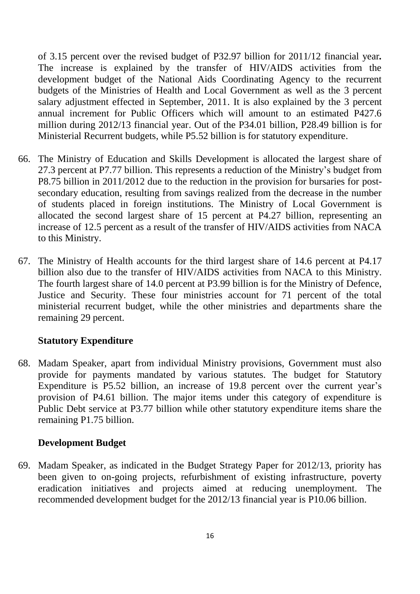of 3.15 percent over the revised budget of P32.97 billion for 2011/12 financial year*.* The increase is explained by the transfer of HIV/AIDS activities from the development budget of the National Aids Coordinating Agency to the recurrent budgets of the Ministries of Health and Local Government as well as the 3 percent salary adjustment effected in September, 2011. It is also explained by the 3 percent annual increment for Public Officers which will amount to an estimated P427.6 million during 2012/13 financial year. Out of the P34.01 billion, P28.49 billion is for Ministerial Recurrent budgets, while P5.52 billion is for statutory expenditure.

- 66. The Ministry of Education and Skills Development is allocated the largest share of 27.3 percent at P7.77 billion. This represents a reduction of the Ministry's budget from P8.75 billion in 2011/2012 due to the reduction in the provision for bursaries for postsecondary education, resulting from savings realized from the decrease in the number of students placed in foreign institutions. The Ministry of Local Government is allocated the second largest share of 15 percent at P4.27 billion, representing an increase of 12.5 percent as a result of the transfer of HIV/AIDS activities from NACA to this Ministry.
- 67. The Ministry of Health accounts for the third largest share of 14.6 percent at P4.17 billion also due to the transfer of HIV/AIDS activities from NACA to this Ministry. The fourth largest share of 14.0 percent at P3.99 billion is for the Ministry of Defence, Justice and Security. These four ministries account for 71 percent of the total ministerial recurrent budget, while the other ministries and departments share the remaining 29 percent.

#### <span id="page-17-0"></span>**Statutory Expenditure**

68. Madam Speaker, apart from individual Ministry provisions, Government must also provide for payments mandated by various statutes. The budget for Statutory Expenditure is P5.52 billion, an increase of 19.8 percent over the current year's provision of P4.61 billion. The major items under this category of expenditure is Public Debt service at P3.77 billion while other statutory expenditure items share the remaining P1.75 billion.

#### <span id="page-17-1"></span>**Development Budget**

69. Madam Speaker, as indicated in the Budget Strategy Paper for 2012/13, priority has been given to on-going projects, refurbishment of existing infrastructure, poverty eradication initiatives and projects aimed at reducing unemployment. The recommended development budget for the 2012/13 financial year is P10.06 billion.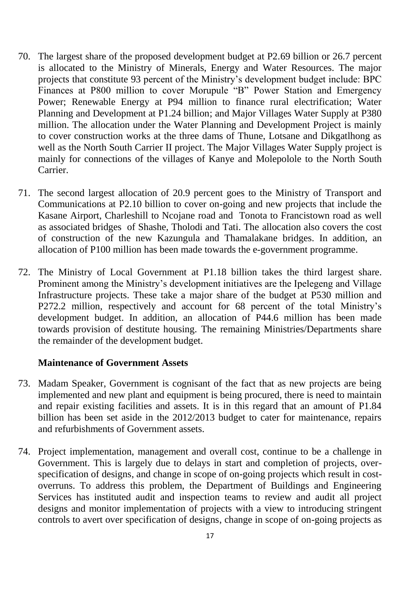- 70. The largest share of the proposed development budget at P2.69 billion or 26.7 percent is allocated to the Ministry of Minerals, Energy and Water Resources. The major projects that constitute 93 percent of the Ministry's development budget include: BPC Finances at P800 million to cover Morupule "B" Power Station and Emergency Power; Renewable Energy at P94 million to finance rural electrification; Water Planning and Development at P1.24 billion; and Major Villages Water Supply at P380 million. The allocation under the Water Planning and Development Project is mainly to cover construction works at the three dams of Thune, Lotsane and Dikgatlhong as well as the North South Carrier II project. The Major Villages Water Supply project is mainly for connections of the villages of Kanye and Molepolole to the North South Carrier.
- 71. The second largest allocation of 20.9 percent goes to the Ministry of Transport and Communications at P2.10 billion to cover on-going and new projects that include the Kasane Airport, Charleshill to Ncojane road and Tonota to Francistown road as well as associated bridges of Shashe, Tholodi and Tati. The allocation also covers the cost of construction of the new Kazungula and Thamalakane bridges. In addition, an allocation of P100 million has been made towards the e-government programme.
- 72. The Ministry of Local Government at P1.18 billion takes the third largest share. Prominent among the Ministry's development initiatives are the Ipelegeng and Village Infrastructure projects. These take a major share of the budget at P530 million and P272.2 million, respectively and account for 68 percent of the total Ministry's development budget. In addition, an allocation of P44.6 million has been made towards provision of destitute housing. The remaining Ministries/Departments share the remainder of the development budget.

#### <span id="page-18-0"></span>**Maintenance of Government Assets**

- 73. Madam Speaker, Government is cognisant of the fact that as new projects are being implemented and new plant and equipment is being procured, there is need to maintain and repair existing facilities and assets. It is in this regard that an amount of P1.84 billion has been set aside in the 2012/2013 budget to cater for maintenance, repairs and refurbishments of Government assets.
- 74. Project implementation, management and overall cost, continue to be a challenge in Government. This is largely due to delays in start and completion of projects, overspecification of designs, and change in scope of on-going projects which result in costoverruns. To address this problem, the Department of Buildings and Engineering Services has instituted audit and inspection teams to review and audit all project designs and monitor implementation of projects with a view to introducing stringent controls to avert over specification of designs, change in scope of on-going projects as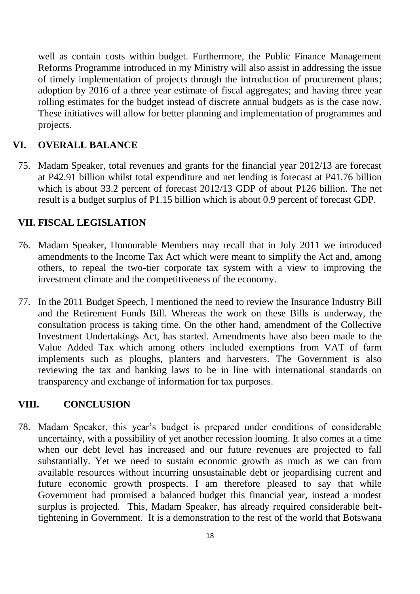well as contain costs within budget. Furthermore, the Public Finance Management Reforms Programme introduced in my Ministry will also assist in addressing the issue of timely implementation of projects through the introduction of procurement plans; adoption by 2016 of a three year estimate of fiscal aggregates; and having three year rolling estimates for the budget instead of discrete annual budgets as is the case now. These initiatives will allow for better planning and implementation of programmes and projects.

## <span id="page-19-0"></span>**VI. OVERALL BALANCE**

75. Madam Speaker, total revenues and grants for the financial year 2012/13 are forecast at P42.91 billion whilst total expenditure and net lending is forecast at P41.76 billion which is about 33.2 percent of forecast 2012/13 GDP of about P126 billion. The net result is a budget surplus of P1.15 billion which is about 0.9 percent of forecast GDP.

#### <span id="page-19-1"></span>**VII. FISCAL LEGISLATION**

- 76. Madam Speaker, Honourable Members may recall that in July 2011 we introduced amendments to the Income Tax Act which were meant to simplify the Act and, among others, to repeal the two-tier corporate tax system with a view to improving the investment climate and the competitiveness of the economy.
- 77. In the 2011 Budget Speech, I mentioned the need to review the Insurance Industry Bill and the Retirement Funds Bill. Whereas the work on these Bills is underway, the consultation process is taking time. On the other hand, amendment of the Collective Investment Undertakings Act, has started. Amendments have also been made to the Value Added Tax which among others included exemptions from VAT of farm implements such as ploughs, planters and harvesters. The Government is also reviewing the tax and banking laws to be in line with international standards on transparency and exchange of information for tax purposes.

#### <span id="page-19-2"></span>**VIII. CONCLUSION**

78. Madam Speaker, this year's budget is prepared under conditions of considerable uncertainty, with a possibility of yet another recession looming. It also comes at a time when our debt level has increased and our future revenues are projected to fall substantially. Yet we need to sustain economic growth as much as we can from available resources without incurring unsustainable debt or jeopardising current and future economic growth prospects. I am therefore pleased to say that while Government had promised a balanced budget this financial year, instead a modest surplus is projected. This, Madam Speaker, has already required considerable belttightening in Government. It is a demonstration to the rest of the world that Botswana